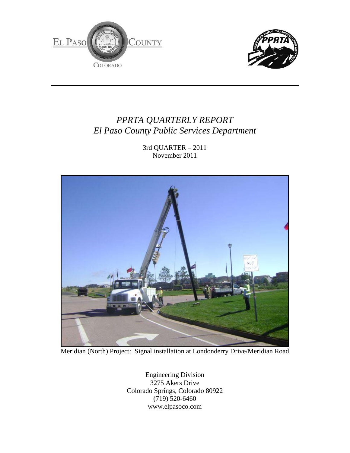



# *PPRTA QUARTERLY REPORT El Paso County Public Services Department*

3rd QUARTER – 2011 November 2011



Meridian (North) Project: Signal installation at Londonderry Drive/Meridian Road

Engineering Division 3275 Akers Drive Colorado Springs, Colorado 80922  $(719) 520 - 6460$ www.elpasoco.com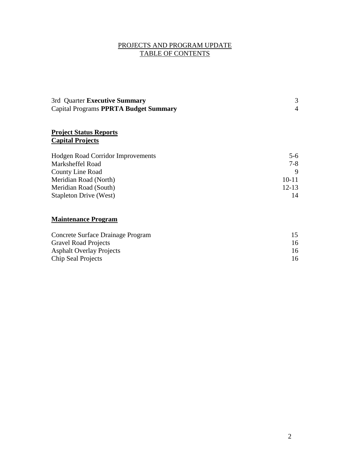## PROJECTS AND PROGRAM UPDATE TABLE OF CONTENTS

| 3rd Quarter Executive Summary<br><b>Capital Programs PPRTA Budget Summary</b> | 3<br>4    |
|-------------------------------------------------------------------------------|-----------|
|                                                                               |           |
| <b>Project Status Reports</b>                                                 |           |
| <b>Capital Projects</b>                                                       |           |
| <b>Hodgen Road Corridor Improvements</b>                                      | $5-6$     |
| Marksheffel Road                                                              | $7-8$     |
| <b>County Line Road</b>                                                       | 9         |
| Meridian Road (North)                                                         | $10 - 11$ |
| Meridian Road (South)                                                         | $12 - 13$ |
| <b>Stapleton Drive (West)</b>                                                 | 14        |

# **Maintenance Program**

| Concrete Surface Drainage Program | 15 |
|-----------------------------------|----|
| <b>Gravel Road Projects</b>       | 16 |
| <b>Asphalt Overlay Projects</b>   | 16 |
| Chip Seal Projects                | 16 |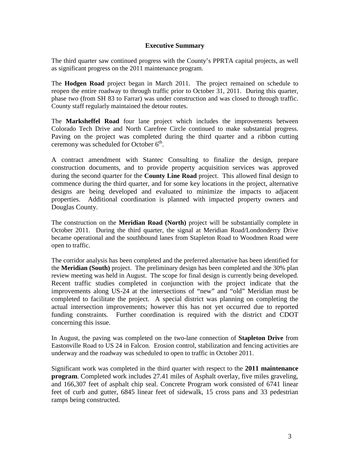#### **Executive Summary**

The third quarter saw continued progress with the County's PPRTA capital projects, as well as significant progress on the 2011 maintenance program.

The **Hodgen Road** project began in March 2011. The project remained on schedule to reopen the entire roadway to through traffic prior to October 31, 2011. During this quarter, phase two (from SH 83 to Farrar) was under construction and was closed to through traffic. County staff regularly maintained the detour routes.

The **Marksheffel Road** four lane project which includes the improvements between Colorado Tech Drive and North Carefree Circle continued to make substantial progress. Paving on the project was completed during the third quarter and a ribbon cutting ceremony was scheduled for October  $6<sup>th</sup>$ .

A contract amendment with Stantec Consulting to finalize the design, prepare construction documents, and to provide property acquisition services was approved during the second quarter for the **County Line Road** project. This allowed final design to commence during the third quarter, and for some key locations in the project, alternative designs are being developed and evaluated to minimize the impacts to adjacent properties. Additional coordination is planned with impacted property owners and Douglas County.

The construction on the **Meridian Road (North)** project will be substantially complete in October 2011. During the third quarter, the signal at Meridian Road/Londonderry Drive became operational and the southbound lanes from Stapleton Road to Woodmen Road were open to traffic.

The corridor analysis has been completed and the preferred alternative has been identified for the **Meridian (South)** project. The preliminary design has been completed and the 30% plan review meeting was held in August. The scope for final design is currently being developed. Recent traffic studies completed in conjunction with the project indicate that the improvements along US-24 at the intersections of "new" and "old" Meridian must be completed to facilitate the project. A special district was planning on completing the actual intersection improvements; however this has not yet occurred due to reported funding constraints. Further coordination is required with the district and CDOT concerning this issue.

In August, the paving was completed on the two-lane connection of **Stapleton Drive** from Eastonville Road to US 24 in Falcon. Erosion control, stabilization and fencing activities are underway and the roadway was scheduled to open to traffic in October 2011.

Significant work was completed in the third quarter with respect to the **2011 maintenance program**. Completed work includes 27.41 miles of Asphalt overlay, five miles graveling, and 166,307 feet of asphalt chip seal. Concrete Program work consisted of 6741 linear feet of curb and gutter, 6845 linear feet of sidewalk, 15 cross pans and 33 pedestrian ramps being constructed.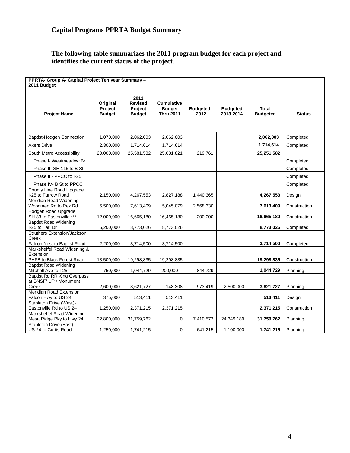#### **The following table summarizes the 2011 program budget for each project and identifies the current status of the project**.

| PPRTA- Group A- Capital Project Ten year Summary -<br>2011 Budget     |                                      |                                                    |                                                        |                           |                              |                          |               |
|-----------------------------------------------------------------------|--------------------------------------|----------------------------------------------------|--------------------------------------------------------|---------------------------|------------------------------|--------------------------|---------------|
| <b>Project Name</b>                                                   | Original<br>Project<br><b>Budget</b> | 2011<br><b>Revised</b><br>Project<br><b>Budget</b> | <b>Cumulative</b><br><b>Budget</b><br><b>Thru 2011</b> | <b>Budgeted -</b><br>2012 | <b>Budgeted</b><br>2013-2014 | Total<br><b>Budgeted</b> | <b>Status</b> |
| <b>Baptist-Hodgen Connection</b>                                      | 1,070,000                            | 2,062,003                                          | 2,062,003                                              |                           |                              | 2,062,003                | Completed     |
| <b>Akers Drive</b>                                                    | 2,300,000                            | 1,714,614                                          | 1,714,614                                              |                           |                              | 1,714,614                | Completed     |
| South Metro Accessibility                                             | 20,000,000                           | 25,581,582                                         | 25,031,821                                             | 219,761                   |                              | 25,251,582               |               |
| Phase I- Westmeadow Br.                                               |                                      |                                                    |                                                        |                           |                              |                          | Completed     |
| Phase II-SH 115 to B St.                                              |                                      |                                                    |                                                        |                           |                              |                          | Completed     |
| Phase III- PPCC to I-25                                               |                                      |                                                    |                                                        |                           |                              |                          | Completed     |
| Phase IV- B St to PPCC                                                |                                      |                                                    |                                                        |                           |                              |                          | Completed     |
| County Line Road Upgrade<br>I-25 to Furrow Road                       | 2,150,000                            | 4,267,553                                          | 2,827,188                                              | 1,440,365                 |                              | 4,267,553                | Design        |
| Meridian Road Widening<br>Woodmen Rd to Rex Rd                        | 5,500,000                            | 7,613,409                                          | 5,045,079                                              | 2,568,330                 |                              | 7,613,409                | Construction  |
| <b>Hodgen Road Upgrade</b><br>SH 83 to Eastonville ***                | 12,000,000                           | 16,665,180                                         | 16,465,180                                             | 200,000                   |                              | 16,665,180               | Construction  |
| <b>Baptist Road Widening</b><br>I-25 to Tari Dr                       | 6,200,000                            | 8,773,026                                          | 8,773,026                                              |                           |                              | 8,773,026                | Completed     |
| Struthers Extension/Jackson<br>Creek<br>Falcon Nest to Baptist Road   | 2,200,000                            | 3,714,500                                          | 3,714,500                                              |                           |                              | 3,714,500                | Completed     |
| Marksheffel Road Widening &<br>Extension<br>PAFB to Black Forest Road | 13,500,000                           | 19,298,835                                         | 19,298,835                                             |                           |                              | 19,298,835               | Construction  |
| <b>Baptist Road Widening</b><br>Mitchell Ave to I-25                  | 750,000                              | 1,044,729                                          | 200,000                                                | 844,729                   |                              | 1,044,729                | Planning      |
| <b>Baptist Rd RR Xing Overpass</b><br>at BNSF/ UP / Monument<br>Creek | 2,600,000                            | 3,621,727                                          | 148,308                                                | 973,419                   | 2,500,000                    | 3,621,727                | Planning      |
| Meridian Road Extension<br>Falcon Hwy to US 24                        | 375,000                              | 513,411                                            | 513,411                                                |                           |                              | 513,411                  | Design        |
| Stapleton Drive (West)-<br>Eastonville Rd to US 24                    | 1,250,000                            | 2.371,215                                          | 2,371,215                                              |                           |                              | 2,371,215                | Construction  |
| Marksheffel Road Widening<br>Mesa Ridge Pky to Hwy 24                 | 22,800,000                           | 31,759,762                                         | 0                                                      | 7,410,573                 | 24,349,189                   | 31,759,762               | Planning      |
| Stapleton Drive (East)-<br>US 24 to Curtis Road                       | 1,250,000                            | 1,741,215                                          | 0                                                      | 641,215                   | 1,100,000                    | 1,741,215                | Planning      |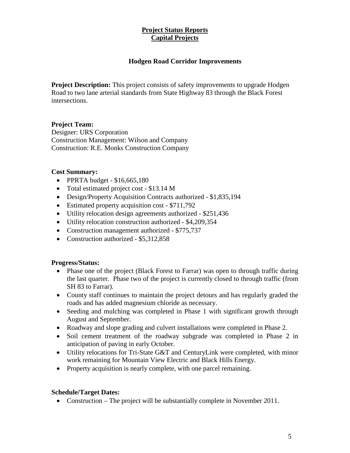## **Project Status Reports Capital Projects**

## **Hodgen Road Corridor Improvements**

**Project Description:** This project consists of safety improvements to upgrade Hodgen Road to two lane arterial standards from State Highway 83 through the Black Forest intersections.

## **Project Team:**

Designer: URS Corporation Construction Management: Wilson and Company Construction: R.E. Monks Construction Company

## **Cost Summary:**

- PPRTA budget  $$16,665,180$
- Total estimated project cost \$13.14 M
- Design/Property Acquisition Contracts authorized \$1,835,194
- Estimated property acquisition cost \$711,792
- Utility relocation design agreements authorized \$251,436
- Utility relocation construction authorized \$4,209,354
- Construction management authorized \$775,737
- Construction authorized \$5,312,858

## **Progress/Status:**

- Phase one of the project (Black Forest to Farrar) was open to through traffic during the last quarter. Phase two of the project is currently closed to through traffic (from SH 83 to Farrar).
- County staff continues to maintain the project detours and has regularly graded the roads and has added magnesium chloride as necessary.
- Seeding and mulching was completed in Phase 1 with significant growth through August and September.
- Roadway and slope grading and culvert installations were completed in Phase 2.
- Soil cement treatment of the roadway subgrade was completed in Phase 2 in anticipation of paving in early October.
- Utility relocations for Tri-State G&T and CenturyLink were completed, with minor work remaining for Mountain View Electric and Black Hills Energy.
- Property acquisition is nearly complete, with one parcel remaining.

## **Schedule/Target Dates:**

• Construction – The project will be substantially complete in November 2011.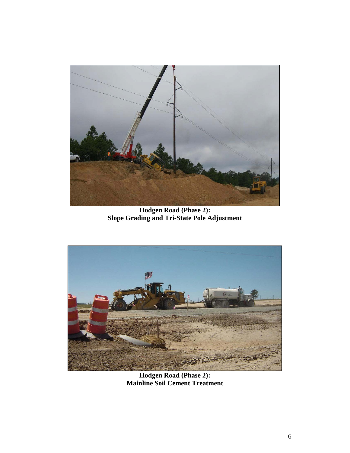

**Hodgen Road (Phase 2): Slope Grading and Tri-State Pole Adjustment** 



**Hodgen Road (Phase 2): Mainline Soil Cement Treatment**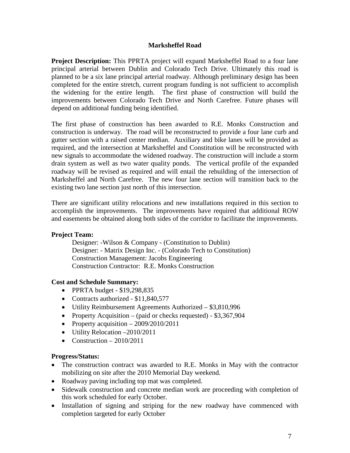#### **Marksheffel Road**

**Project Description:** This PPRTA project will expand Marksheffel Road to a four lane principal arterial between Dublin and Colorado Tech Drive. Ultimately this road is planned to be a six lane principal arterial roadway. Although preliminary design has been completed for the entire stretch, current program funding is not sufficient to accomplish the widening for the entire length. The first phase of construction will build the improvements between Colorado Tech Drive and North Carefree. Future phases will depend on additional funding being identified.

The first phase of construction has been awarded to R.E. Monks Construction and construction is underway. The road will be reconstructed to provide a four lane curb and gutter section with a raised center median. Auxiliary and bike lanes will be provided as required, and the intersection at Marksheffel and Constitution will be reconstructed with new signals to accommodate the widened roadway. The construction will include a storm drain system as well as two water quality ponds. The vertical profile of the expanded roadway will be revised as required and will entail the rebuilding of the intersection of Marksheffel and North Carefree. The new four lane section will transition back to the existing two lane section just north of this intersection.

There are significant utility relocations and new installations required in this section to accomplish the improvements. The improvements have required that additional ROW and easements be obtained along both sides of the corridor to facilitate the improvements.

## **Project Team:**

Designer: -Wilson & Company - (Constitution to Dublin) Designer: - Matrix Design Inc. - (Colorado Tech to Constitution) Construction Management: Jacobs Engineering Construction Contractor: R.E. Monks Construction

#### **Cost and Schedule Summary:**

- PPRTA budget \$19,298,835
- Contracts authorized \$11,840,577
- Utility Reimbursement Agreements Authorized \$3,810,996
- Property Acquisition (paid or checks requested) \$3,367,904
- Property acquisition 2009/2010/2011
- Utility Relocation –2010/2011
- Construction  $-2010/2011$

#### **Progress/Status:**

- The construction contract was awarded to R.E. Monks in May with the contractor mobilizing on site after the 2010 Memorial Day weekend.
- Roadway paving including top mat was completed.
- Sidewalk construction and concrete median work are proceeding with completion of this work scheduled for early October.
- Installation of signing and striping for the new roadway have commenced with completion targeted for early October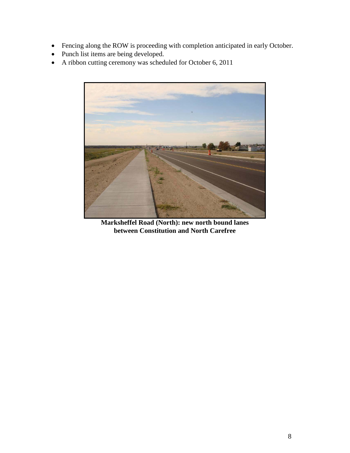- Fencing along the ROW is proceeding with completion anticipated in early October.
- Punch list items are being developed.
- A ribbon cutting ceremony was scheduled for October 6, 2011



**Marksheffel Road (North): new north bound lanes between Constitution and North Carefree**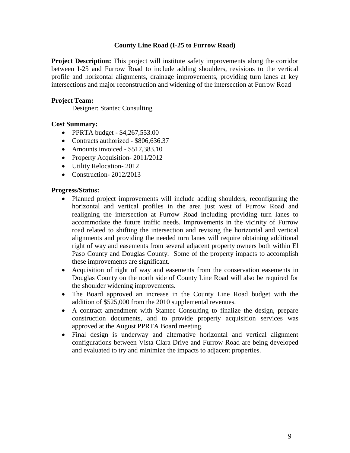#### **County Line Road (I-25 to Furrow Road)**

**Project Description:** This project will institute safety improvements along the corridor between I-25 and Furrow Road to include adding shoulders, revisions to the vertical profile and horizontal alignments, drainage improvements, providing turn lanes at key intersections and major reconstruction and widening of the intersection at Furrow Road

#### **Project Team:**

Designer: Stantec Consulting

#### **Cost Summary:**

- PPRTA budget \$4,267,553.00
- Contracts authorized \$806,636.37
- Amounts invoiced \$517,383.10
- Property Acquisition- 2011/2012
- Utility Relocation- 2012
- Construction-2012/2013

#### **Progress/Status:**

- Planned project improvements will include adding shoulders, reconfiguring the horizontal and vertical profiles in the area just west of Furrow Road and realigning the intersection at Furrow Road including providing turn lanes to accommodate the future traffic needs. Improvements in the vicinity of Furrow road related to shifting the intersection and revising the horizontal and vertical alignments and providing the needed turn lanes will require obtaining additional right of way and easements from several adjacent property owners both within El Paso County and Douglas County. Some of the property impacts to accomplish these improvements are significant.
- Acquisition of right of way and easements from the conservation easements in Douglas County on the north side of County Line Road will also be required for the shoulder widening improvements.
- The Board approved an increase in the County Line Road budget with the addition of \$525,000 from the 2010 supplemental revenues.
- A contract amendment with Stantec Consulting to finalize the design, prepare construction documents, and to provide property acquisition services was approved at the August PPRTA Board meeting.
- Final design is underway and alternative horizontal and vertical alignment configurations between Vista Clara Drive and Furrow Road are being developed and evaluated to try and minimize the impacts to adjacent properties.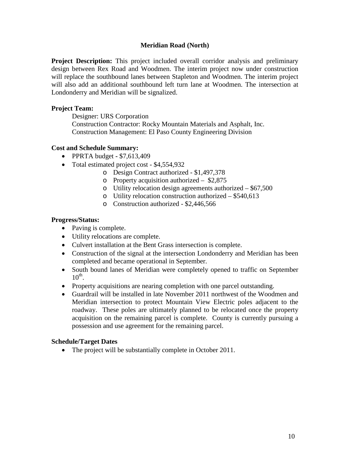#### **Meridian Road (North)**

**Project Description:** This project included overall corridor analysis and preliminary design between Rex Road and Woodmen. The interim project now under construction will replace the southbound lanes between Stapleton and Woodmen. The interim project will also add an additional southbound left turn lane at Woodmen. The intersection at Londonderry and Meridian will be signalized.

#### **Project Team:**

Designer: URS Corporation Construction Contractor: Rocky Mountain Materials and Asphalt, Inc. Construction Management: El Paso County Engineering Division

#### **Cost and Schedule Summary:**

- PPRTA budget **-** \$7,613,409
- Total estimated project cost \$4,554,932
	- o Design Contract authorized \$1,497,378
	- o Property acquisition authorized \$2,875
	- o Utility relocation design agreements authorized \$67,500
	- o Utility relocation construction authorized \$540,613
	- o Construction authorized \$2,446,566

#### **Progress/Status:**

- Paving is complete.
- Utility relocations are complete.
- Culvert installation at the Bent Grass intersection is complete.
- Construction of the signal at the intersection Londonderry and Meridian has been completed and became operational in September.
- South bound lanes of Meridian were completely opened to traffic on September  $10^{th}$ .
- Property acquisitions are nearing completion with one parcel outstanding.
- Guardrail will be installed in late November 2011 northwest of the Woodmen and Meridian intersection to protect Mountain View Electric poles adjacent to the roadway. These poles are ultimately planned to be relocated once the property acquisition on the remaining parcel is complete. County is currently pursuing a possession and use agreement for the remaining parcel.

#### **Schedule/Target Dates**

• The project will be substantially complete in October 2011.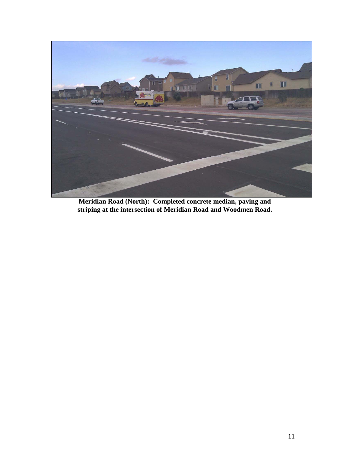

**Meridian Road (North): Completed concrete median, paving and striping at the intersection of Meridian Road and Woodmen Road.**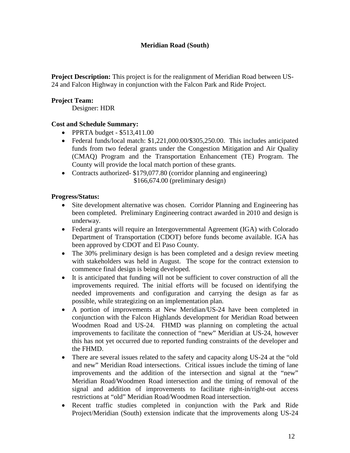## **Meridian Road (South)**

**Project Description:** This project is for the realignment of Meridian Road between US-24 and Falcon Highway in conjunction with the Falcon Park and Ride Project.

## **Project Team:**

Designer: HDR

#### **Cost and Schedule Summary:**

- PPRTA budget  $$513,411.00$
- Federal funds/local match: \$1,221,000.00/\$305,250.00. This includes anticipated funds from two federal grants under the Congestion Mitigation and Air Quality (CMAQ) Program and the Transportation Enhancement (TE) Program. The County will provide the local match portion of these grants.
- Contracts authorized- \$179,077.80 (corridor planning and engineering) \$166,674.00 (preliminary design)

#### **Progress/Status:**

- Site development alternative was chosen. Corridor Planning and Engineering has been completed. Preliminary Engineering contract awarded in 2010 and design is underway.
- Federal grants will require an Intergovernmental Agreement (IGA) with Colorado Department of Transportation (CDOT) before funds become available. IGA has been approved by CDOT and El Paso County.
- The 30% preliminary design is has been completed and a design review meeting with stakeholders was held in August. The scope for the contract extension to commence final design is being developed.
- It is anticipated that funding will not be sufficient to cover construction of all the improvements required. The initial efforts will be focused on identifying the needed improvements and configuration and carrying the design as far as possible, while strategizing on an implementation plan.
- A portion of improvements at New Meridian/US-24 have been completed in conjunction with the Falcon Highlands development for Meridian Road between Woodmen Road and US-24. FHMD was planning on completing the actual improvements to facilitate the connection of "new" Meridian at US-24, however this has not yet occurred due to reported funding constraints of the developer and the FHMD.
- There are several issues related to the safety and capacity along US-24 at the "old" and new" Meridian Road intersections. Critical issues include the timing of lane improvements and the addition of the intersection and signal at the "new" Meridian Road/Woodmen Road intersection and the timing of removal of the signal and addition of improvements to facilitate right-in/right-out access restrictions at "old" Meridian Road/Woodmen Road intersection.
- Recent traffic studies completed in conjunction with the Park and Ride Project/Meridian (South) extension indicate that the improvements along US-24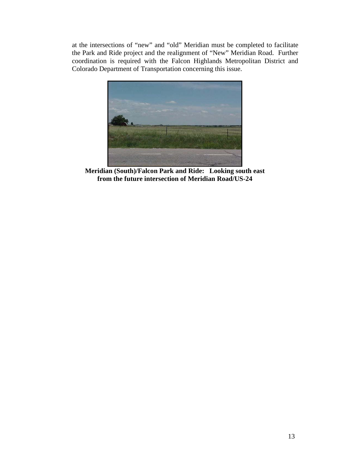at the intersections of "new" and "old" Meridian must be completed to facilitate the Park and Ride project and the realignment of "New" Meridian Road. Further coordination is required with the Falcon Highlands Metropolitan District and Colorado Department of Transportation concerning this issue.



**Meridian (South)/Falcon Park and Ride: Looking south east from the future intersection of Meridian Road/US-24**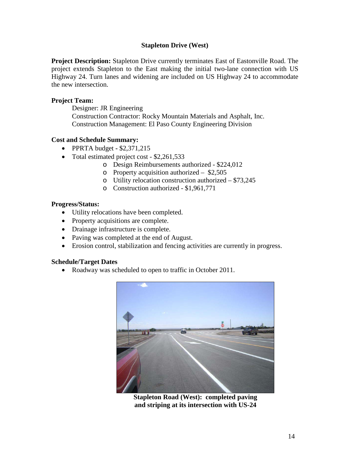## **Stapleton Drive (West)**

**Project Description:** Stapleton Drive currently terminates East of Eastonville Road. The project extends Stapleton to the East making the initial two-lane connection with US Highway 24. Turn lanes and widening are included on US Highway 24 to accommodate the new intersection.

## **Project Team:**

Designer: JR Engineering Construction Contractor: Rocky Mountain Materials and Asphalt, Inc. Construction Management: El Paso County Engineering Division

#### **Cost and Schedule Summary:**

- PPRTA budget **-** \$2,371,215
- Total estimated project cost \$2,261,533
	- o Design Reimbursements authorized \$224,012
	- o Property acquisition authorized \$2,505
	- o Utility relocation construction authorized \$73,245
	- o Construction authorized \$1,961,771

#### **Progress/Status:**

- Utility relocations have been completed.
- Property acquisitions are complete.
- Drainage infrastructure is complete.
- Paving was completed at the end of August.
- Erosion control, stabilization and fencing activities are currently in progress.

#### **Schedule/Target Dates**

• Roadway was scheduled to open to traffic in October 2011.



**Stapleton Road (West): completed paving and striping at its intersection with US-24**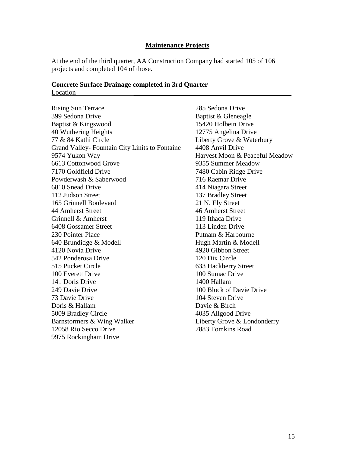## **Maintenance Projects**

At the end of the third quarter, AA Construction Company had started 105 of 106 projects and completed 104 of those.

#### **Concrete Surface Drainage completed in 3rd Quarter**  $Location$

| 285 Sedona Drive               |
|--------------------------------|
| Baptist & Gleneagle            |
| 15420 Holbein Drive            |
| 12775 Angelina Drive           |
| Liberty Grove & Waterbury      |
| 4408 Anvil Drive               |
| Harvest Moon & Peaceful Meadow |
| 9355 Summer Meadow             |
| 7480 Cabin Ridge Drive         |
| 716 Raemar Drive               |
| 414 Niagara Street             |
| 137 Bradley Street             |
| 21 N. Ely Street               |
| <b>46 Amherst Street</b>       |
| 119 Ithaca Drive               |
| 113 Linden Drive               |
| Putnam & Harbourne             |
| Hugh Martin & Modell           |
| 4920 Gibbon Street             |
| 120 Dix Circle                 |
| 633 Hackberry Street           |
| 100 Sumac Drive                |
| 1400 Hallam                    |
| 100 Block of Davie Drive       |
| 104 Steven Drive               |
| Davie & Birch                  |
| 4035 Allgood Drive             |
| Liberty Grove & Londonderry    |
| 7883 Tomkins Road              |
|                                |
|                                |